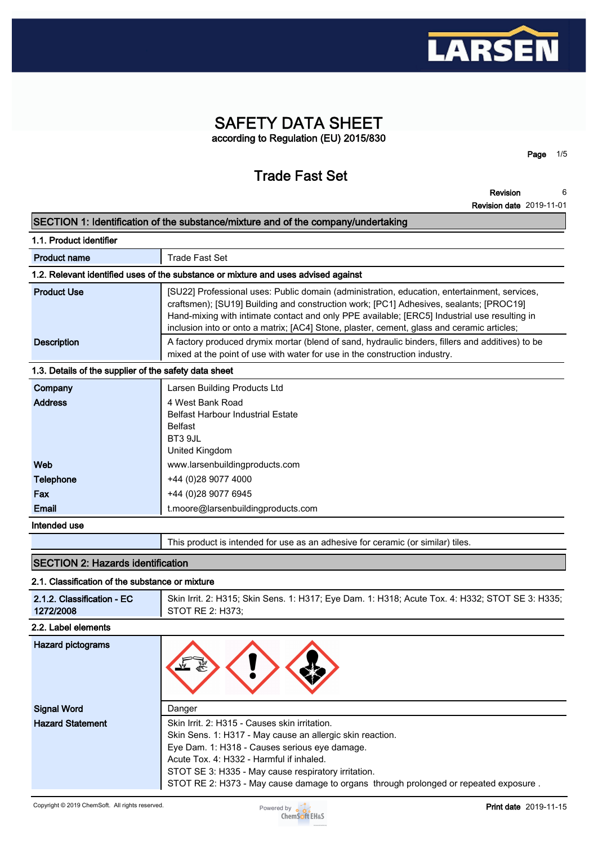

# **SAFETY DATA SHEET according to Regulation (EU) 2015/830**

# **Trade Fast Set**

**Page 1/5**

**Revision 6**

|                                                       | <b>Revision date 2019-11-01</b>                                                                                                                                                                                                                                                                                                                                                      |
|-------------------------------------------------------|--------------------------------------------------------------------------------------------------------------------------------------------------------------------------------------------------------------------------------------------------------------------------------------------------------------------------------------------------------------------------------------|
|                                                       | SECTION 1: Identification of the substance/mixture and of the company/undertaking                                                                                                                                                                                                                                                                                                    |
| 1.1. Product identifier                               |                                                                                                                                                                                                                                                                                                                                                                                      |
| <b>Product name</b>                                   | <b>Trade Fast Set</b>                                                                                                                                                                                                                                                                                                                                                                |
|                                                       | 1.2. Relevant identified uses of the substance or mixture and uses advised against                                                                                                                                                                                                                                                                                                   |
| <b>Product Use</b>                                    | [SU22] Professional uses: Public domain (administration, education, entertainment, services,<br>craftsmen); [SU19] Building and construction work; [PC1] Adhesives, sealants; [PROC19]<br>Hand-mixing with intimate contact and only PPE available; [ERC5] Industrial use resulting in<br>inclusion into or onto a matrix; [AC4] Stone, plaster, cement, glass and ceramic articles; |
| <b>Description</b>                                    | A factory produced drymix mortar (blend of sand, hydraulic binders, fillers and additives) to be<br>mixed at the point of use with water for use in the construction industry.                                                                                                                                                                                                       |
| 1.3. Details of the supplier of the safety data sheet |                                                                                                                                                                                                                                                                                                                                                                                      |
| Company                                               | Larsen Building Products Ltd                                                                                                                                                                                                                                                                                                                                                         |
| <b>Address</b>                                        | 4 West Bank Road<br><b>Belfast Harbour Industrial Estate</b><br><b>Belfast</b><br>BT3 9JL<br>United Kingdom                                                                                                                                                                                                                                                                          |
| Web                                                   | www.larsenbuildingproducts.com                                                                                                                                                                                                                                                                                                                                                       |
| Telephone                                             | +44 (0)28 9077 4000                                                                                                                                                                                                                                                                                                                                                                  |
| Fax                                                   | +44 (0)28 9077 6945                                                                                                                                                                                                                                                                                                                                                                  |
| Email                                                 | t.moore@larsenbuildingproducts.com                                                                                                                                                                                                                                                                                                                                                   |
| Intended use                                          |                                                                                                                                                                                                                                                                                                                                                                                      |
|                                                       | This product is intended for use as an adhesive for ceramic (or similar) tiles.                                                                                                                                                                                                                                                                                                      |
| <b>SECTION 2: Hazards identification</b>              |                                                                                                                                                                                                                                                                                                                                                                                      |
| 2.1. Classification of the substance or mixture       |                                                                                                                                                                                                                                                                                                                                                                                      |
| 0.4.0. Classification LC                              | Chin Issit, O. HO4E, Chin Copp. 4: HO47; Fue Dom. 4: HO40; Apute Toy, A: HO2O; CTOT CF 9: HO2E                                                                                                                                                                                                                                                                                       |

**2.1.2. Classification - EC 1272/2008 Skin Irrit. 2: H315; Skin Sens. 1: H317; Eye Dam. 1: H318; Acute Tox. 4: H332; STOT SE 3: H335; STOT RE 2: H373; 2.2. Label elements Hazard pictograms Signal Word Danger Hazard Statement Skin Irrit. 2: H315 - Causes skin irritation. Skin Sens. 1: H317 - May cause an allergic skin reaction. Eye Dam. 1: H318 - Causes serious eye damage. Acute Tox. 4: H332 - Harmful if inhaled. STOT SE 3: H335 - May cause respiratory irritation. STOT RE 2: H373 - May cause damage to organs through prolonged or repeated exposure .**

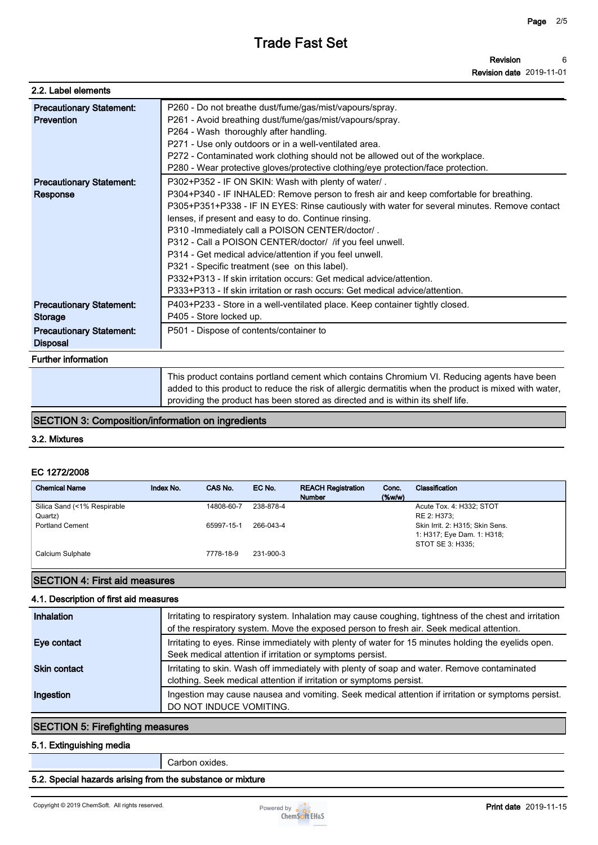| 2.2. Label elements                                |                                                                                                                                                                                                                                                                                                                                                                                                                                                                                                                                                                                                                                                                                            |
|----------------------------------------------------|--------------------------------------------------------------------------------------------------------------------------------------------------------------------------------------------------------------------------------------------------------------------------------------------------------------------------------------------------------------------------------------------------------------------------------------------------------------------------------------------------------------------------------------------------------------------------------------------------------------------------------------------------------------------------------------------|
| <b>Precautionary Statement:</b><br>Prevention      | P260 - Do not breathe dust/fume/gas/mist/vapours/spray.<br>P261 - Avoid breathing dust/fume/gas/mist/vapours/spray.<br>P264 - Wash thoroughly after handling.<br>P271 - Use only outdoors or in a well-ventilated area.<br>P272 - Contaminated work clothing should not be allowed out of the workplace.<br>P280 - Wear protective gloves/protective clothing/eye protection/face protection.                                                                                                                                                                                                                                                                                              |
| <b>Precautionary Statement:</b><br>Response        | P302+P352 - IF ON SKIN: Wash with plenty of water/.<br>P304+P340 - IF INHALED: Remove person to fresh air and keep comfortable for breathing.<br>P305+P351+P338 - IF IN EYES: Rinse cautiously with water for several minutes. Remove contact<br>lenses, if present and easy to do. Continue rinsing.<br>P310 - Immediately call a POISON CENTER/doctor/.<br>P312 - Call a POISON CENTER/doctor/ /if you feel unwell.<br>P314 - Get medical advice/attention if you feel unwell.<br>P321 - Specific treatment (see on this label).<br>P332+P313 - If skin irritation occurs: Get medical advice/attention.<br>P333+P313 - If skin irritation or rash occurs: Get medical advice/attention. |
| <b>Precautionary Statement:</b><br><b>Storage</b>  | P403+P233 - Store in a well-ventilated place. Keep container tightly closed.<br>P405 - Store locked up.                                                                                                                                                                                                                                                                                                                                                                                                                                                                                                                                                                                    |
| <b>Precautionary Statement:</b><br><b>Disposal</b> | P501 - Dispose of contents/container to                                                                                                                                                                                                                                                                                                                                                                                                                                                                                                                                                                                                                                                    |
| <b>Further information</b>                         |                                                                                                                                                                                                                                                                                                                                                                                                                                                                                                                                                                                                                                                                                            |
|                                                    | This product contains portland cement which contains Chromium VI. Reducing agents have been<br>added to this product to reduce the risk of allergic dermatitis when the product is mixed with water,                                                                                                                                                                                                                                                                                                                                                                                                                                                                                       |

**SECTION 3: Composition/information on ingredients**

**3.2. Mixtures**

### **EC 1272/2008**

| <b>Chemical Name</b>        | Index No. | CAS No.    | EC No.    | <b>REACH Registration</b><br><b>Number</b> | Conc.<br>$(\%w/w)$ | Classification                  |
|-----------------------------|-----------|------------|-----------|--------------------------------------------|--------------------|---------------------------------|
| Silica Sand (<1% Respirable |           | 14808-60-7 | 238-878-4 |                                            |                    | Acute Tox. 4: H332; STOT        |
| Quartz)                     |           |            |           |                                            |                    | RE 2: H373;                     |
| <b>Portland Cement</b>      |           | 65997-15-1 | 266-043-4 |                                            |                    | Skin Irrit. 2: H315; Skin Sens. |
|                             |           |            |           |                                            |                    | 1: H317; Eye Dam. 1: H318;      |
|                             |           |            |           |                                            |                    | STOT SE 3: H335:                |
| Calcium Sulphate            |           | 7778-18-9  | 231-900-3 |                                            |                    |                                 |
|                             |           |            |           |                                            |                    |                                 |

**providing the product has been stored as directed and is within its shelf life.**

### **SECTION 4: First aid measures**

#### **4.1. Description of first aid measures**

| Inhalation          | Irritating to respiratory system. Inhalation may cause coughing, tightness of the chest and irritation<br>of the respiratory system. Move the exposed person to fresh air. Seek medical attention. |
|---------------------|----------------------------------------------------------------------------------------------------------------------------------------------------------------------------------------------------|
| Eye contact         | Irritating to eyes. Rinse immediately with plenty of water for 15 minutes holding the eyelids open.<br>Seek medical attention if irritation or symptoms persist.                                   |
| <b>Skin contact</b> | Irritating to skin. Wash off immediately with plenty of soap and water. Remove contaminated<br>clothing. Seek medical attention if irritation or symptoms persist.                                 |
| Ingestion           | Ingestion may cause nausea and vomiting. Seek medical attention if irritation or symptoms persist.<br>DO NOT INDUCE VOMITING.                                                                      |

## **SECTION 5: Firefighting measures**

#### **5.1. Extinguishing media**

**Carbon oxides.**

### **5.2. Special hazards arising from the substance or mixture**

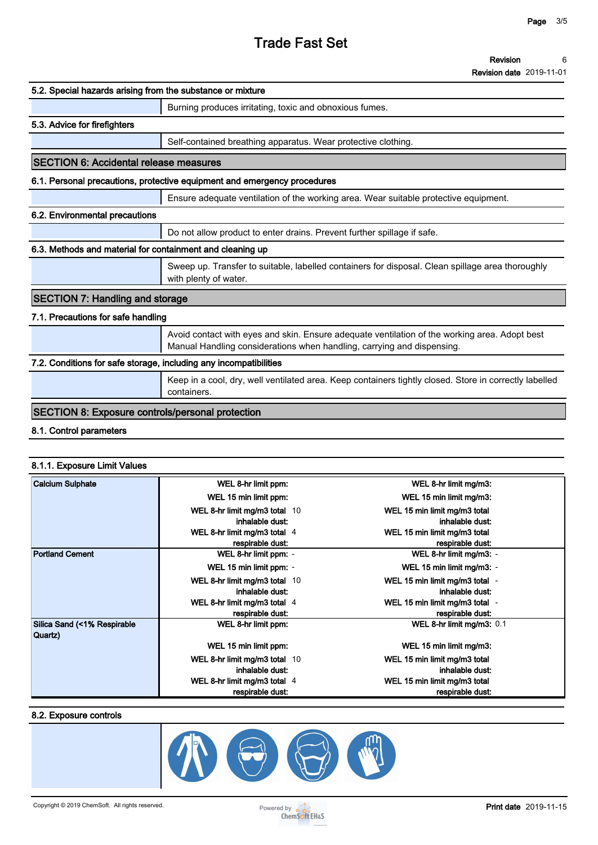| Revision                        | 6 |
|---------------------------------|---|
| <b>Revision date 2019-11-01</b> |   |

| 5.2. Special hazards arising from the substance or mixture        |                                                                                                                                                                         |
|-------------------------------------------------------------------|-------------------------------------------------------------------------------------------------------------------------------------------------------------------------|
|                                                                   | Burning produces irritating, toxic and obnoxious fumes.                                                                                                                 |
| 5.3. Advice for firefighters                                      |                                                                                                                                                                         |
|                                                                   | Self-contained breathing apparatus. Wear protective clothing.                                                                                                           |
| <b>SECTION 6: Accidental release measures</b>                     |                                                                                                                                                                         |
|                                                                   | 6.1. Personal precautions, protective equipment and emergency procedures                                                                                                |
|                                                                   | Ensure adequate ventilation of the working area. Wear suitable protective equipment.                                                                                    |
| 6.2. Environmental precautions                                    |                                                                                                                                                                         |
|                                                                   | Do not allow product to enter drains. Prevent further spillage if safe.                                                                                                 |
| 6.3. Methods and material for containment and cleaning up         |                                                                                                                                                                         |
|                                                                   | Sweep up. Transfer to suitable, labelled containers for disposal. Clean spillage area thoroughly<br>with plenty of water.                                               |
| <b>SECTION 7: Handling and storage</b>                            |                                                                                                                                                                         |
| 7.1. Precautions for safe handling                                |                                                                                                                                                                         |
|                                                                   | Avoid contact with eyes and skin. Ensure adequate ventilation of the working area. Adopt best<br>Manual Handling considerations when handling, carrying and dispensing. |
| 7.2. Conditions for safe storage, including any incompatibilities |                                                                                                                                                                         |
|                                                                   | Keep in a cool, dry, well ventilated area. Keep containers tightly closed. Store in correctly labelled<br>containers.                                                   |
| <b>SECTION 8: Exposure controls/personal protection</b>           |                                                                                                                                                                         |
| 8.1. Control parameters                                           |                                                                                                                                                                         |
|                                                                   |                                                                                                                                                                         |
|                                                                   |                                                                                                                                                                         |

### **8.1.1. Exposure Limit Values**

| <b>Calcium Sulphate</b>                | WEL 8-hr limit ppm:            | WEL 8-hr limit mg/m3:          |
|----------------------------------------|--------------------------------|--------------------------------|
|                                        | WEL 15 min limit ppm:          | WEL 15 min limit mg/m3:        |
|                                        | WEL 8-hr limit mg/m3 total 10  | WEL 15 min limit mg/m3 total   |
|                                        | inhalable dust:                | inhalable dust:                |
|                                        | WEL 8-hr limit mg/m3 total 4   | WEL 15 min limit mg/m3 total   |
|                                        | respirable dust:               | respirable dust:               |
| <b>Portland Cement</b>                 | WEL 8-hr limit ppm: -          | WEL 8-hr limit mg/m3: -        |
|                                        | WEL 15 min limit ppm: -        | WEL 15 min limit mg/m3: -      |
|                                        | WEL 8-hr limit mg/m3 total 10  | WEL 15 min limit mg/m3 total - |
|                                        | inhalable dust:                | inhalable dust:                |
|                                        | WEL 8-hr limit mg/m3 total $4$ | WEL 15 min limit mg/m3 total - |
|                                        | respirable dust:               | respirable dust:               |
| Silica Sand (<1% Respirable<br>Quartz) | WEL 8-hr limit ppm:            | WEL 8-hr limit mg/m3: 0.1      |
|                                        | WEL 15 min limit ppm:          | WEL 15 min limit mg/m3:        |
|                                        | WEL 8-hr limit mg/m3 total 10  | WEL 15 min limit mg/m3 total   |
|                                        | inhalable dust:                | inhalable dust:                |
|                                        | WEL 8-hr limit mg/m3 total 4   | WEL 15 min limit mg/m3 total   |
|                                        | respirable dust:               | respirable dust:               |

#### **8.2. Exposure controls**

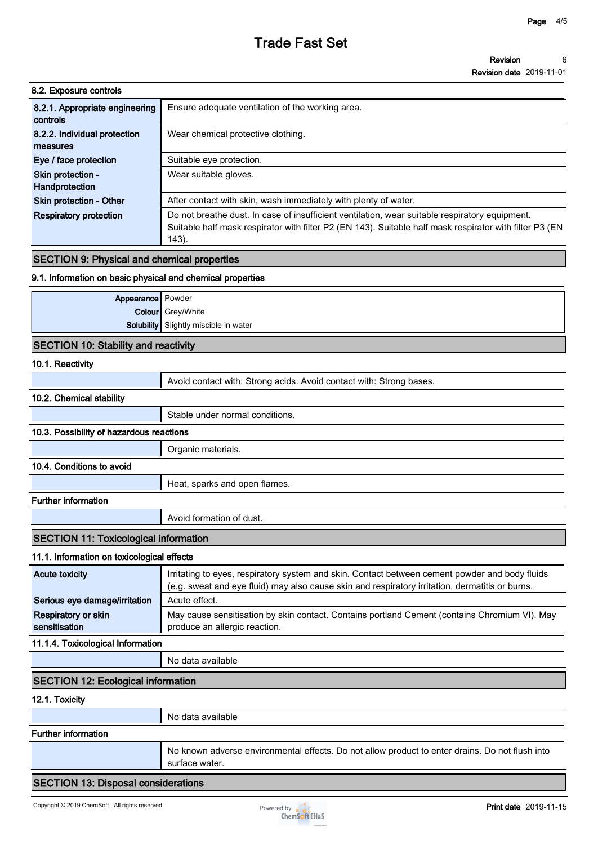| 8.2. Exposure controls                     |                                                                                                                                                                                                                    |
|--------------------------------------------|--------------------------------------------------------------------------------------------------------------------------------------------------------------------------------------------------------------------|
| 8.2.1. Appropriate engineering<br>controls | Ensure adequate ventilation of the working area.                                                                                                                                                                   |
| 8.2.2. Individual protection<br>measures   | Wear chemical protective clothing.                                                                                                                                                                                 |
| Eye / face protection                      | Suitable eye protection.                                                                                                                                                                                           |
| Skin protection -<br>Handprotection        | Wear suitable gloves.                                                                                                                                                                                              |
| <b>Skin protection - Other</b>             | After contact with skin, wash immediately with plenty of water.                                                                                                                                                    |
| <b>Respiratory protection</b>              | Do not breathe dust. In case of insufficient ventilation, wear suitable respiratory equipment.<br>Suitable half mask respirator with filter P2 (EN 143). Suitable half mask respirator with filter P3 (EN<br>143). |
|                                            |                                                                                                                                                                                                                    |

# **SECTION 9: Physical and chemical properties**

### **9.1. Information on basic physical and chemical properties**

| Appearance   Powder                         |                                              |
|---------------------------------------------|----------------------------------------------|
|                                             | Colour Grey/White                            |
|                                             | <b>Solubility</b> Slightly miscible in water |
| <b>SECTION 10: Stability and reactivity</b> |                                              |

#### **10.1. Reactivity**

|                                              | Avoid contact with: Strong acids. Avoid contact with: Strong bases.                                                                                                                               |
|----------------------------------------------|---------------------------------------------------------------------------------------------------------------------------------------------------------------------------------------------------|
| 10.2. Chemical stability                     |                                                                                                                                                                                                   |
|                                              | Stable under normal conditions.                                                                                                                                                                   |
| 10.3. Possibility of hazardous reactions     |                                                                                                                                                                                                   |
|                                              | Organic materials.                                                                                                                                                                                |
| 10.4. Conditions to avoid                    |                                                                                                                                                                                                   |
|                                              | Heat, sparks and open flames.                                                                                                                                                                     |
| <b>Further information</b>                   |                                                                                                                                                                                                   |
|                                              | Avoid formation of dust.                                                                                                                                                                          |
| <b>SECTION 11: Toxicological information</b> |                                                                                                                                                                                                   |
| 11.1. Information on toxicological effects   |                                                                                                                                                                                                   |
| <b>Acute toxicity</b>                        | Irritating to eyes, respiratory system and skin. Contact between cement powder and body fluids<br>(e.g. sweat and eye fluid) may also cause skin and respiratory irritation, dermatitis or burns. |
| Serious eye damage/irritation                | Acute effect.                                                                                                                                                                                     |
| Respiratory or skin<br>sensitisation         | May cause sensitisation by skin contact. Contains portland Cement (contains Chromium VI). May<br>produce an allergic reaction.                                                                    |
| 11.1.4. Toxicological Information            |                                                                                                                                                                                                   |
|                                              | No data available                                                                                                                                                                                 |
| <b>SECTION 12: Ecological information</b>    |                                                                                                                                                                                                   |
| 12.1. Toxicity                               |                                                                                                                                                                                                   |
|                                              | No data available                                                                                                                                                                                 |
| <b>Further information</b>                   |                                                                                                                                                                                                   |
|                                              |                                                                                                                                                                                                   |

**No known adverse environmental effects. Do not allow product to enter drains. Do not flush into surface water.**

**SECTION 13: Disposal considerations**